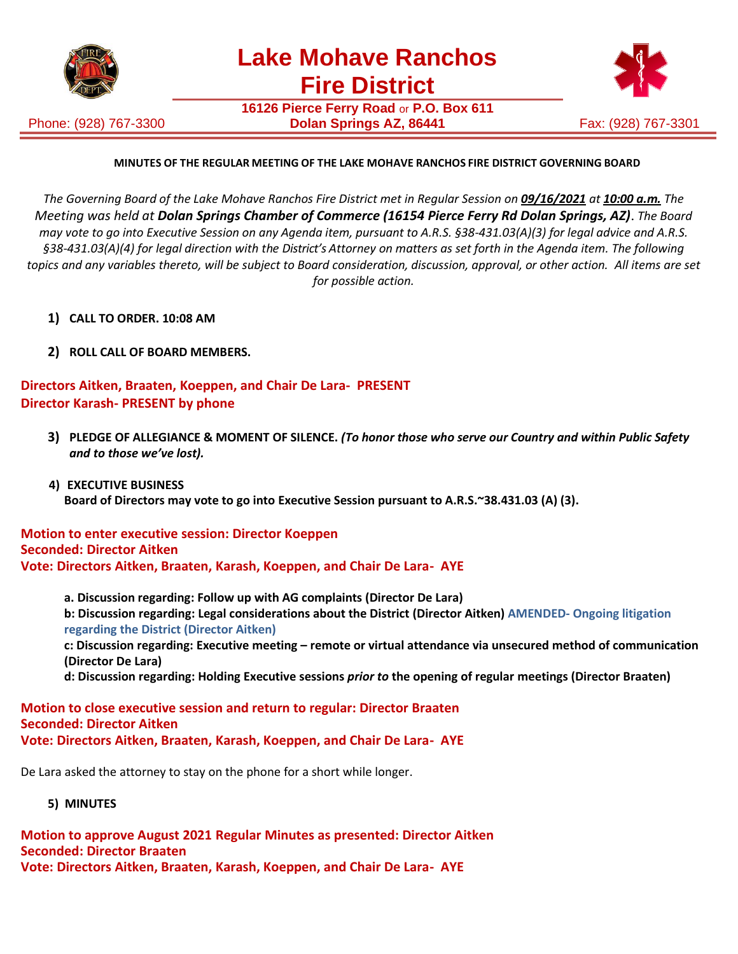

Phone: (928) 767-3300

**16126 Pierce Ferry Road** or **P.O. Box 611 Dolan Springs AZ, 86441 Fax: (928) 767-3301** 



# **MINUTES OF THE REGULAR MEETING OF THE LAKE MOHAVE RANCHOS FIRE DISTRICT GOVERNING BOARD**

The Governing Board of the Lake Mohave Ranchos Fire District met in Regular Session on 09/16/2021 at 10:00 a.m. The *Meeting was held at Dolan Springs Chamber of Commerce (16154 Pierce Ferry Rd Dolan Springs, AZ)*. *The Board may vote to go into Executive Session on any Agenda item, pursuant to A.R.S. §38-431.03(A)(3) for legal advice and A.R.S. §38-431.03(A)(4) for legal direction with the District's Attorney on matters as set forth in the Agenda item. The following topics and any variables thereto, will be subject to Board consideration, discussion, approval, or other action. All items are set for possible action.*

- **1) CALL TO ORDER. 10:08 AM**
- **2) ROLL CALL OF BOARD MEMBERS.**

**Directors Aitken, Braaten, Koeppen, and Chair De Lara- PRESENT Director Karash- PRESENT by phone**

**3) PLEDGE OF ALLEGIANCE & MOMENT OF SILENCE.** *(To honor those who serve our Country and within Public Safety and to those we've lost).*

### **4) EXECUTIVE BUSINESS Board of Directors may vote to go into Executive Session pursuant to A.R.S.~38.431.03 (A) (3).**

#### **Motion to enter executive session: Director Koeppen Seconded: Director Aitken Vote: Directors Aitken, Braaten, Karash, Koeppen, and Chair De Lara- AYE**

**a. Discussion regarding: Follow up with AG complaints (Director De Lara) b: Discussion regarding: Legal considerations about the District (Director Aitken) AMENDED- Ongoing litigation regarding the District (Director Aitken) c: Discussion regarding: Executive meeting – remote or virtual attendance via unsecured method of communication (Director De Lara)**

**d: Discussion regarding: Holding Executive sessions** *prior to* **the opening of regular meetings (Director Braaten)**

#### **Motion to close executive session and return to regular: Director Braaten Seconded: Director Aitken Vote: Directors Aitken, Braaten, Karash, Koeppen, and Chair De Lara- AYE**

De Lara asked the attorney to stay on the phone for a short while longer.

 **5) MINUTES**

**Motion to approve August 2021 Regular Minutes as presented: Director Aitken Seconded: Director Braaten Vote: Directors Aitken, Braaten, Karash, Koeppen, and Chair De Lara- AYE**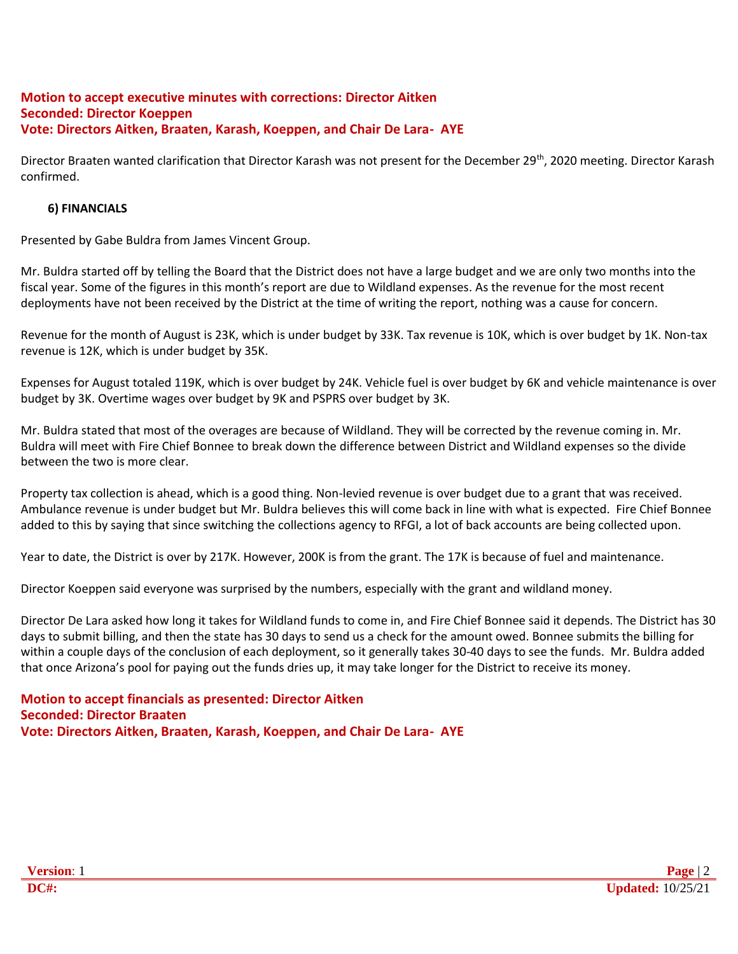# **Motion to accept executive minutes with corrections: Director Aitken Seconded: Director Koeppen Vote: Directors Aitken, Braaten, Karash, Koeppen, and Chair De Lara- AYE**

Director Braaten wanted clarification that Director Karash was not present for the December 29<sup>th</sup>, 2020 meeting. Director Karash confirmed.

# **6) FINANCIALS**

Presented by Gabe Buldra from James Vincent Group.

Mr. Buldra started off by telling the Board that the District does not have a large budget and we are only two months into the fiscal year. Some of the figures in this month's report are due to Wildland expenses. As the revenue for the most recent deployments have not been received by the District at the time of writing the report, nothing was a cause for concern.

Revenue for the month of August is 23K, which is under budget by 33K. Tax revenue is 10K, which is over budget by 1K. Non-tax revenue is 12K, which is under budget by 35K.

Expenses for August totaled 119K, which is over budget by 24K. Vehicle fuel is over budget by 6K and vehicle maintenance is over budget by 3K. Overtime wages over budget by 9K and PSPRS over budget by 3K.

Mr. Buldra stated that most of the overages are because of Wildland. They will be corrected by the revenue coming in. Mr. Buldra will meet with Fire Chief Bonnee to break down the difference between District and Wildland expenses so the divide between the two is more clear.

Property tax collection is ahead, which is a good thing. Non-levied revenue is over budget due to a grant that was received. Ambulance revenue is under budget but Mr. Buldra believes this will come back in line with what is expected. Fire Chief Bonnee added to this by saying that since switching the collections agency to RFGI, a lot of back accounts are being collected upon.

Year to date, the District is over by 217K. However, 200K is from the grant. The 17K is because of fuel and maintenance.

Director Koeppen said everyone was surprised by the numbers, especially with the grant and wildland money.

Director De Lara asked how long it takes for Wildland funds to come in, and Fire Chief Bonnee said it depends. The District has 30 days to submit billing, and then the state has 30 days to send us a check for the amount owed. Bonnee submits the billing for within a couple days of the conclusion of each deployment, so it generally takes 30-40 days to see the funds. Mr. Buldra added that once Arizona's pool for paying out the funds dries up, it may take longer for the District to receive its money.

**Motion to accept financials as presented: Director Aitken Seconded: Director Braaten Vote: Directors Aitken, Braaten, Karash, Koeppen, and Chair De Lara- AYE**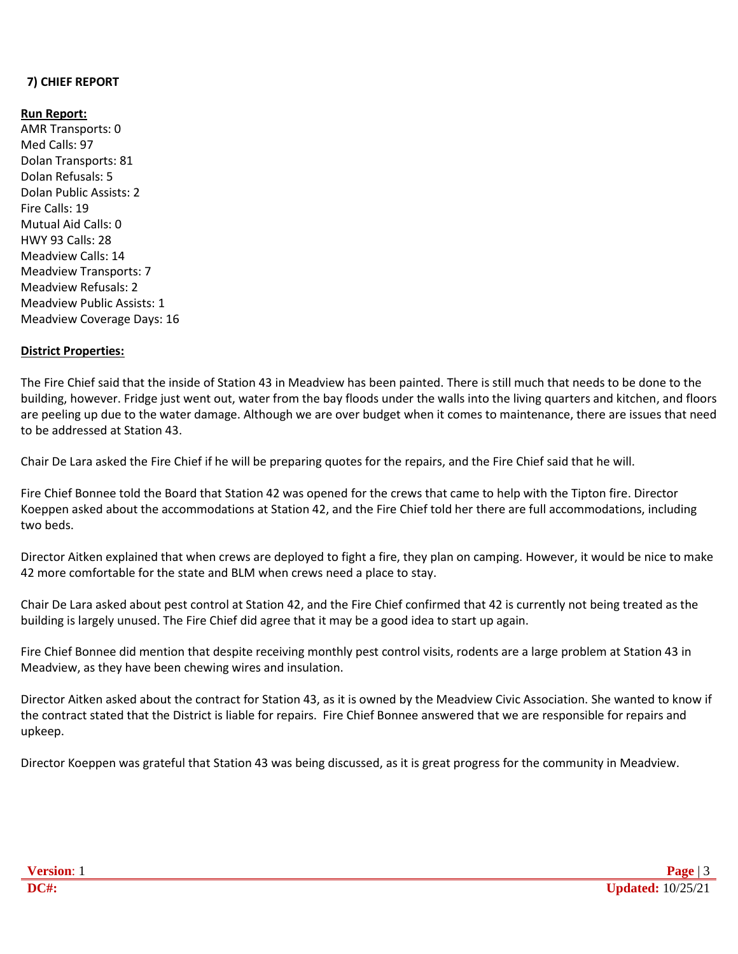# **7) CHIEF REPORT**

#### **Run Report:**

AMR Transports: 0 Med Calls: 97 Dolan Transports: 81 Dolan Refusals: 5 Dolan Public Assists: 2 Fire Calls: 19 Mutual Aid Calls: 0 HWY 93 Calls: 28 Meadview Calls: 14 Meadview Transports: 7 Meadview Refusals: 2 Meadview Public Assists: 1 Meadview Coverage Days: 16

### **District Properties:**

The Fire Chief said that the inside of Station 43 in Meadview has been painted. There is still much that needs to be done to the building, however. Fridge just went out, water from the bay floods under the walls into the living quarters and kitchen, and floors are peeling up due to the water damage. Although we are over budget when it comes to maintenance, there are issues that need to be addressed at Station 43.

Chair De Lara asked the Fire Chief if he will be preparing quotes for the repairs, and the Fire Chief said that he will.

Fire Chief Bonnee told the Board that Station 42 was opened for the crews that came to help with the Tipton fire. Director Koeppen asked about the accommodations at Station 42, and the Fire Chief told her there are full accommodations, including two beds.

Director Aitken explained that when crews are deployed to fight a fire, they plan on camping. However, it would be nice to make 42 more comfortable for the state and BLM when crews need a place to stay.

Chair De Lara asked about pest control at Station 42, and the Fire Chief confirmed that 42 is currently not being treated as the building is largely unused. The Fire Chief did agree that it may be a good idea to start up again.

Fire Chief Bonnee did mention that despite receiving monthly pest control visits, rodents are a large problem at Station 43 in Meadview, as they have been chewing wires and insulation.

Director Aitken asked about the contract for Station 43, as it is owned by the Meadview Civic Association. She wanted to know if the contract stated that the District is liable for repairs. Fire Chief Bonnee answered that we are responsible for repairs and upkeep.

Director Koeppen was grateful that Station 43 was being discussed, as it is great progress for the community in Meadview.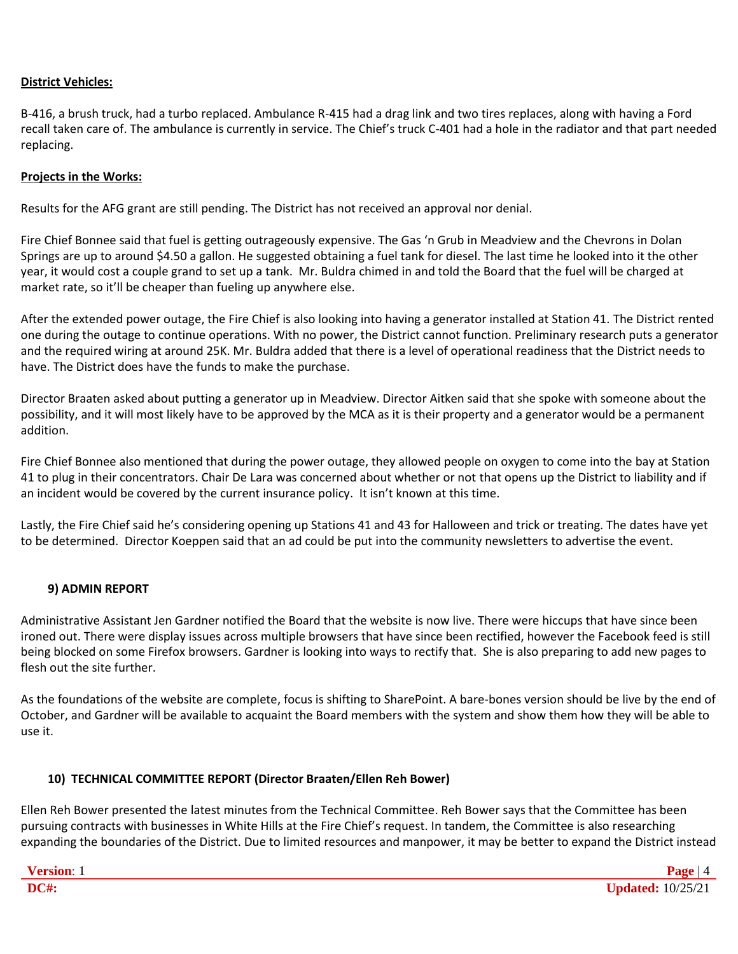#### **District Vehicles:**

B-416, a brush truck, had a turbo replaced. Ambulance R-415 had a drag link and two tires replaces, along with having a Ford recall taken care of. The ambulance is currently in service. The Chief's truck C-401 had a hole in the radiator and that part needed replacing.

### **Projects in the Works:**

Results for the AFG grant are still pending. The District has not received an approval nor denial.

Fire Chief Bonnee said that fuel is getting outrageously expensive. The Gas 'n Grub in Meadview and the Chevrons in Dolan Springs are up to around \$4.50 a gallon. He suggested obtaining a fuel tank for diesel. The last time he looked into it the other year, it would cost a couple grand to set up a tank. Mr. Buldra chimed in and told the Board that the fuel will be charged at market rate, so it'll be cheaper than fueling up anywhere else.

After the extended power outage, the Fire Chief is also looking into having a generator installed at Station 41. The District rented one during the outage to continue operations. With no power, the District cannot function. Preliminary research puts a generator and the required wiring at around 25K. Mr. Buldra added that there is a level of operational readiness that the District needs to have. The District does have the funds to make the purchase.

Director Braaten asked about putting a generator up in Meadview. Director Aitken said that she spoke with someone about the possibility, and it will most likely have to be approved by the MCA as it is their property and a generator would be a permanent addition.

Fire Chief Bonnee also mentioned that during the power outage, they allowed people on oxygen to come into the bay at Station 41 to plug in their concentrators. Chair De Lara was concerned about whether or not that opens up the District to liability and if an incident would be covered by the current insurance policy. It isn't known at this time.

Lastly, the Fire Chief said he's considering opening up Stations 41 and 43 for Halloween and trick or treating. The dates have yet to be determined. Director Koeppen said that an ad could be put into the community newsletters to advertise the event.

#### **9) ADMIN REPORT**

Administrative Assistant Jen Gardner notified the Board that the website is now live. There were hiccups that have since been ironed out. There were display issues across multiple browsers that have since been rectified, however the Facebook feed is still being blocked on some Firefox browsers. Gardner is looking into ways to rectify that. She is also preparing to add new pages to flesh out the site further.

As the foundations of the website are complete, focus is shifting to SharePoint. A bare-bones version should be live by the end of October, and Gardner will be available to acquaint the Board members with the system and show them how they will be able to use it.

# **10) TECHNICAL COMMITTEE REPORT (Director Braaten/Ellen Reh Bower)**

Ellen Reh Bower presented the latest minutes from the Technical Committee. Reh Bower says that the Committee has been pursuing contracts with businesses in White Hills at the Fire Chief's request. In tandem, the Committee is also researching expanding the boundaries of the District. Due to limited resources and manpower, it may be better to expand the District instead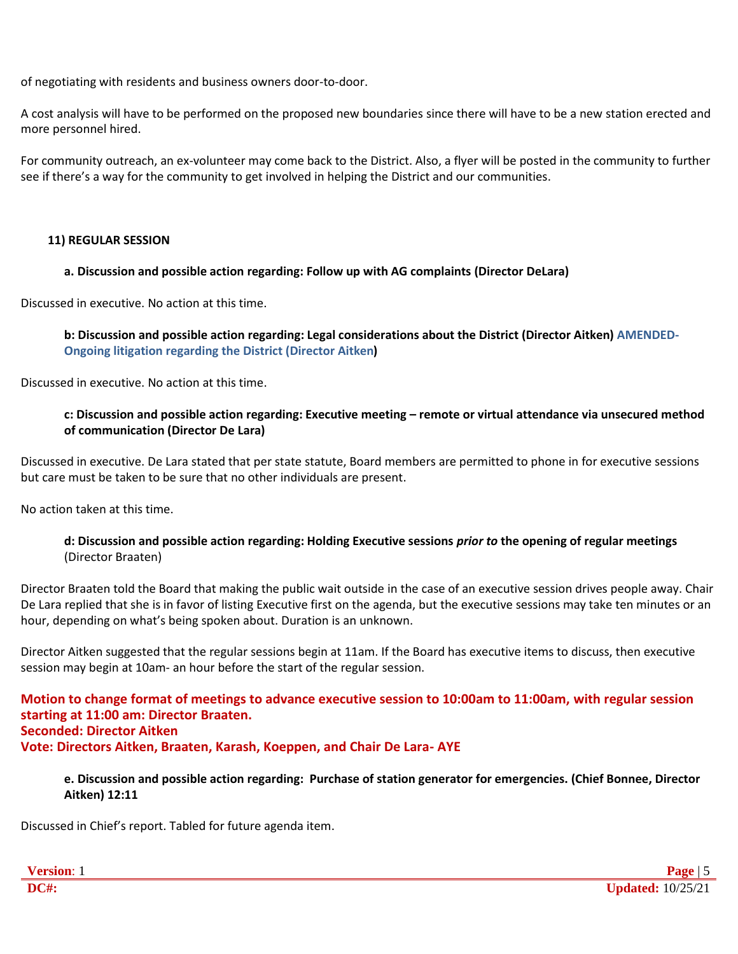of negotiating with residents and business owners door-to-door.

A cost analysis will have to be performed on the proposed new boundaries since there will have to be a new station erected and more personnel hired.

For community outreach, an ex-volunteer may come back to the District. Also, a flyer will be posted in the community to further see if there's a way for the community to get involved in helping the District and our communities.

### **11) REGULAR SESSION**

### **a. Discussion and possible action regarding: Follow up with AG complaints (Director DeLara)**

Discussed in executive. No action at this time.

**b: Discussion and possible action regarding: Legal considerations about the District (Director Aitken) AMENDED-Ongoing litigation regarding the District (Director Aitken)**

Discussed in executive. No action at this time.

# **c: Discussion and possible action regarding: Executive meeting – remote or virtual attendance via unsecured method of communication (Director De Lara)**

Discussed in executive. De Lara stated that per state statute, Board members are permitted to phone in for executive sessions but care must be taken to be sure that no other individuals are present.

No action taken at this time.

#### **d: Discussion and possible action regarding: Holding Executive sessions** *prior to* **the opening of regular meetings** (Director Braaten)

Director Braaten told the Board that making the public wait outside in the case of an executive session drives people away. Chair De Lara replied that she is in favor of listing Executive first on the agenda, but the executive sessions may take ten minutes or an hour, depending on what's being spoken about. Duration is an unknown.

Director Aitken suggested that the regular sessions begin at 11am. If the Board has executive items to discuss, then executive session may begin at 10am- an hour before the start of the regular session.

**Motion to change format of meetings to advance executive session to 10:00am to 11:00am, with regular session starting at 11:00 am: Director Braaten. Seconded: Director Aitken Vote: Directors Aitken, Braaten, Karash, Koeppen, and Chair De Lara- AYE**

### **e. Discussion and possible action regarding: Purchase of station generator for emergencies. (Chief Bonnee, Director Aitken) 12:11**

Discussed in Chief's report. Tabled for future agenda item.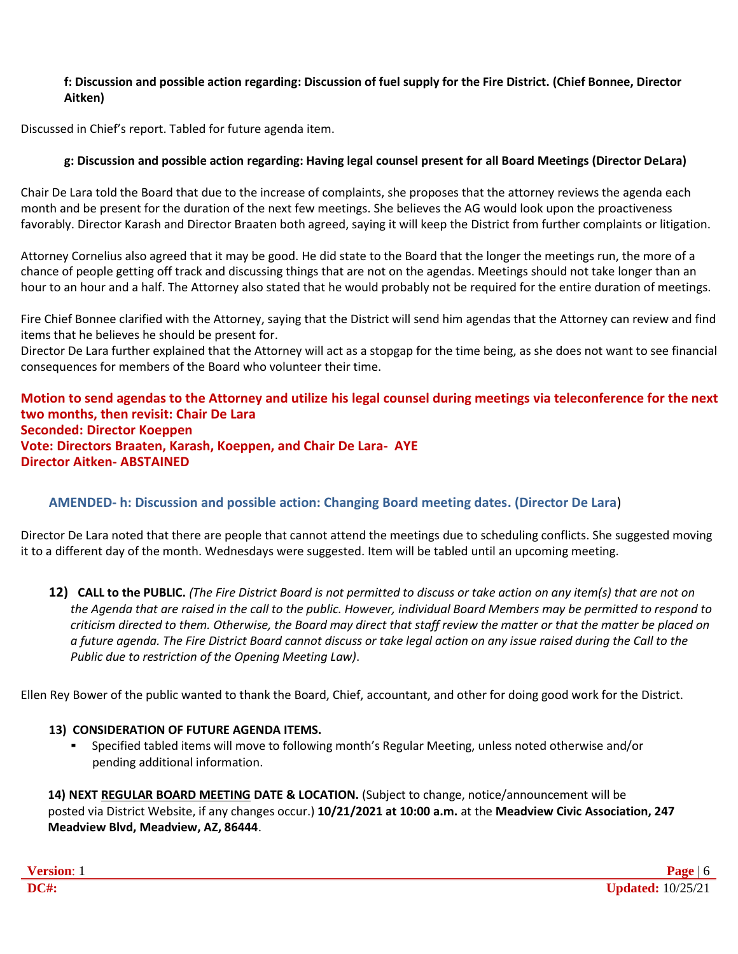# **f: Discussion and possible action regarding: Discussion of fuel supply for the Fire District. (Chief Bonnee, Director Aitken)**

Discussed in Chief's report. Tabled for future agenda item.

# **g: Discussion and possible action regarding: Having legal counsel present for all Board Meetings (Director DeLara)**

Chair De Lara told the Board that due to the increase of complaints, she proposes that the attorney reviews the agenda each month and be present for the duration of the next few meetings. She believes the AG would look upon the proactiveness favorably. Director Karash and Director Braaten both agreed, saying it will keep the District from further complaints or litigation.

Attorney Cornelius also agreed that it may be good. He did state to the Board that the longer the meetings run, the more of a chance of people getting off track and discussing things that are not on the agendas. Meetings should not take longer than an hour to an hour and a half. The Attorney also stated that he would probably not be required for the entire duration of meetings.

Fire Chief Bonnee clarified with the Attorney, saying that the District will send him agendas that the Attorney can review and find items that he believes he should be present for.

Director De Lara further explained that the Attorney will act as a stopgap for the time being, as she does not want to see financial consequences for members of the Board who volunteer their time.

### **Motion to send agendas to the Attorney and utilize his legal counsel during meetings via teleconference for the next two months, then revisit: Chair De Lara Seconded: Director Koeppen Vote: Directors Braaten, Karash, Koeppen, and Chair De Lara- AYE Director Aitken- ABSTAINED**

# **AMENDED- h: Discussion and possible action: Changing Board meeting dates. (Director De Lara**)

Director De Lara noted that there are people that cannot attend the meetings due to scheduling conflicts. She suggested moving it to a different day of the month. Wednesdays were suggested. Item will be tabled until an upcoming meeting.

12) CALL to the PUBLIC. (The Fire District Board is not permitted to discuss or take action on any item(s) that are not on *the Agenda that are raised in the call to the public. However, individual Board Members may be permitted to respond to criticism directed to them. Otherwise, the Board may direct that staff review the matter or that the matter be placed on a future agenda. The Fire District Board cannot discuss or take legal action on any issue raised during the Call to the Public due to restriction of the Opening Meeting Law)*.

Ellen Rey Bower of the public wanted to thank the Board, Chief, accountant, and other for doing good work for the District.

# **13) CONSIDERATION OF FUTURE AGENDA ITEMS.**

▪ Specified tabled items will move to following month's Regular Meeting, unless noted otherwise and/or pending additional information.

**14) NEXT REGULAR BOARD MEETING DATE & LOCATION.** (Subject to change, notice/announcement will be posted via District Website, if any changes occur.) **10/21/2021 at 10:00 a.m.** at the **Meadview Civic Association, 247 Meadview Blvd, Meadview, AZ, 86444**.